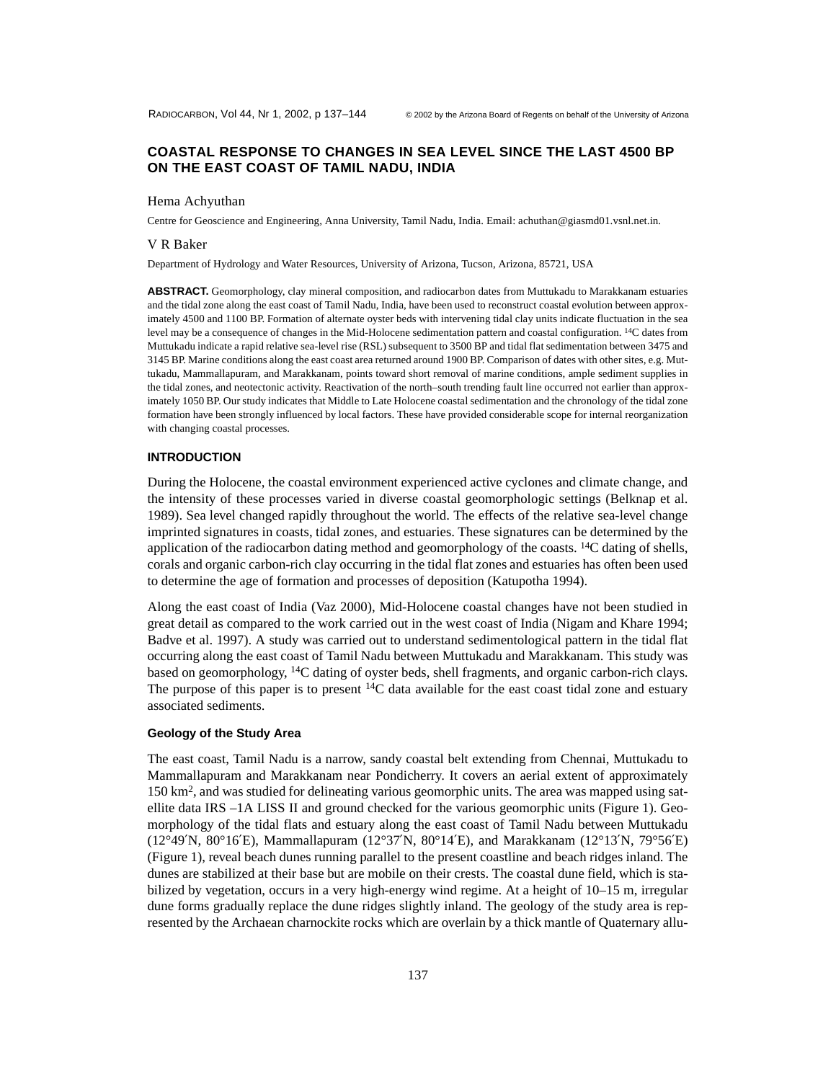# **COASTAL RESPONSE TO CHANGES IN SEA LEVEL SINCE THE LAST 4500 BP ON THE EAST COAST OF TAMIL NADU, INDIA**

### Hema Achyuthan

Centre for Geoscience and Engineering, Anna University, Tamil Nadu, India. Email: achuthan@giasmd01.vsnl.net.in.

#### V R Baker

Department of Hydrology and Water Resources, University of Arizona, Tucson, Arizona, 85721, USA

**ABSTRACT.** Geomorphology, clay mineral composition, and radiocarbon dates from Muttukadu to Marakkanam estuaries and the tidal zone along the east coast of Tamil Nadu, India, have been used to reconstruct coastal evolution between approximately 4500 and 1100 BP. Formation of alternate oyster beds with intervening tidal clay units indicate fluctuation in the sea level may be a consequence of changes in the Mid-Holocene sedimentation pattern and coastal configuration. 14C dates from Muttukadu indicate a rapid relative sea-level rise (RSL) subsequent to 3500 BP and tidal flat sedimentation between 3475 and 3145 BP. Marine conditions along the east coast area returned around 1900 BP. Comparison of dates with other sites, e.g. Muttukadu, Mammallapuram, and Marakkanam, points toward short removal of marine conditions, ample sediment supplies in the tidal zones, and neotectonic activity. Reactivation of the north–south trending fault line occurred not earlier than approximately 1050 BP. Our study indicates that Middle to Late Holocene coastal sedimentation and the chronology of the tidal zone formation have been strongly influenced by local factors. These have provided considerable scope for internal reorganization with changing coastal processes.

#### **INTRODUCTION**

During the Holocene, the coastal environment experienced active cyclones and climate change, and the intensity of these processes varied in diverse coastal geomorphologic settings (Belknap et al. 1989). Sea level changed rapidly throughout the world. The effects of the relative sea-level change imprinted signatures in coasts, tidal zones, and estuaries. These signatures can be determined by the application of the radiocarbon dating method and geomorphology of the coasts. <sup>14</sup>C dating of shells, corals and organic carbon-rich clay occurring in the tidal flat zones and estuaries has often been used to determine the age of formation and processes of deposition (Katupotha 1994).

Along the east coast of India (Vaz 2000), Mid-Holocene coastal changes have not been studied in great detail as compared to the work carried out in the west coast of India (Nigam and Khare 1994; Badve et al. 1997). A study was carried out to understand sedimentological pattern in the tidal flat occurring along the east coast of Tamil Nadu between Muttukadu and Marakkanam. This study was based on geomorphology, 14C dating of oyster beds, shell fragments, and organic carbon-rich clays. The purpose of this paper is to present  $14C$  data available for the east coast tidal zone and estuary associated sediments.

### **Geology of the Study Area**

The east coast, Tamil Nadu is a narrow, sandy coastal belt extending from Chennai, Muttukadu to Mammallapuram and Marakkanam near Pondicherry. It covers an aerial extent of approximately 150 km2, and was studied for delineating various geomorphic units. The area was mapped using satellite data IRS –1A LISS II and ground checked for the various geomorphic units (Figure 1). Geomorphology of the tidal flats and estuary along the east coast of Tamil Nadu between Muttukadu (12°49′N, 80°16′E), Mammallapuram (12°37′N, 80°14′E), and Marakkanam (12°13′N, 79°56′E) (Figure 1), reveal beach dunes running parallel to the present coastline and beach ridges inland. The dunes are stabilized at their base but are mobile on their crests. The coastal dune field, which is stabilized by vegetation, occurs in a very high-energy wind regime. At a height of 10–15 m, irregular dune forms gradually replace the dune ridges slightly inland. The geology of the study area is represented by the Archaean charnockite rocks which are overlain by a thick mantle of Quaternary allu-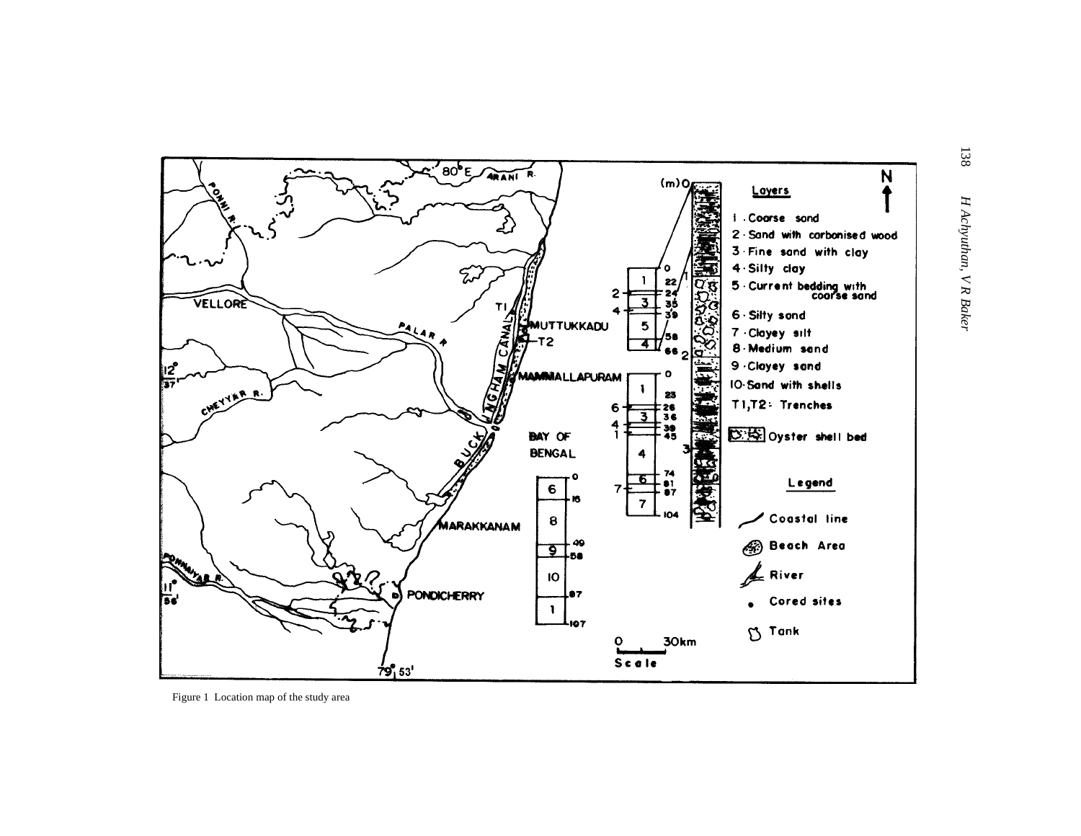

Figure 1 Location map of the study area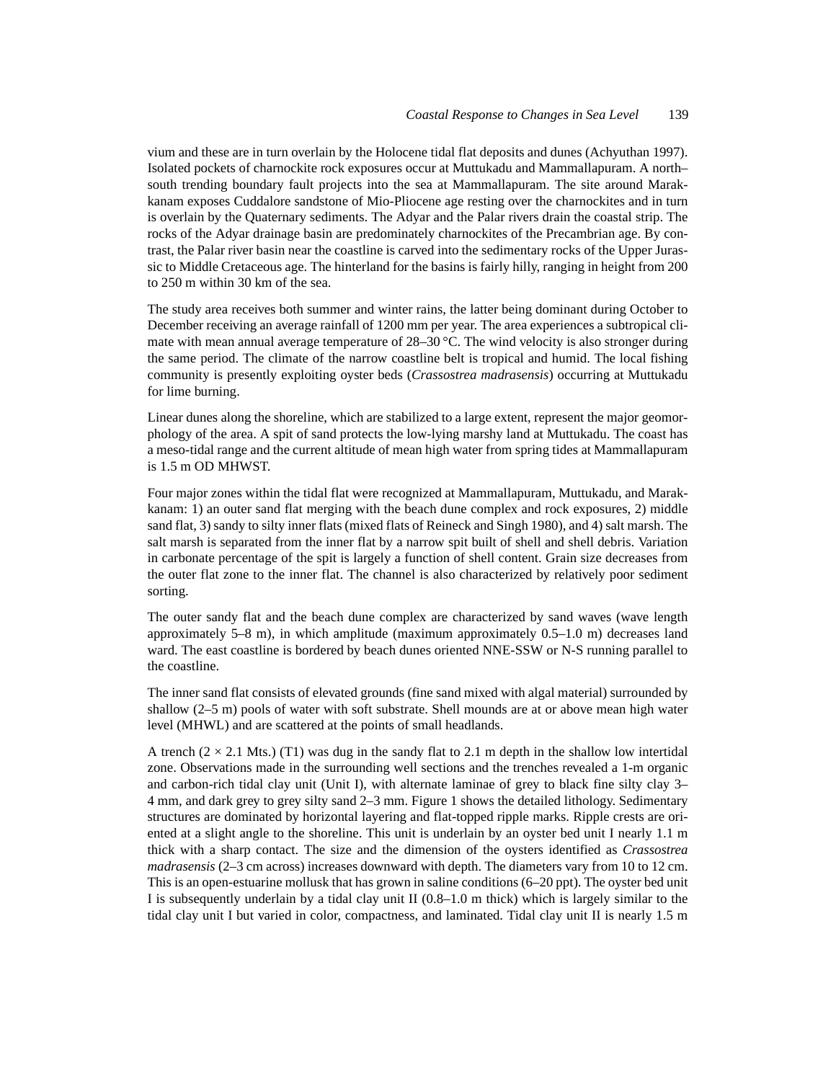vium and these are in turn overlain by the Holocene tidal flat deposits and dunes (Achyuthan 1997). Isolated pockets of charnockite rock exposures occur at Muttukadu and Mammallapuram. A north– south trending boundary fault projects into the sea at Mammallapuram. The site around Marakkanam exposes Cuddalore sandstone of Mio-Pliocene age resting over the charnockites and in turn is overlain by the Quaternary sediments. The Adyar and the Palar rivers drain the coastal strip. The rocks of the Adyar drainage basin are predominately charnockites of the Precambrian age. By contrast, the Palar river basin near the coastline is carved into the sedimentary rocks of the Upper Jurassic to Middle Cretaceous age. The hinterland for the basins is fairly hilly, ranging in height from 200 to 250 m within 30 km of the sea.

The study area receives both summer and winter rains, the latter being dominant during October to December receiving an average rainfall of 1200 mm per year. The area experiences a subtropical climate with mean annual average temperature of 28–30 °C. The wind velocity is also stronger during the same period. The climate of the narrow coastline belt is tropical and humid. The local fishing community is presently exploiting oyster beds (*Crassostrea madrasensis*) occurring at Muttukadu for lime burning.

Linear dunes along the shoreline, which are stabilized to a large extent, represent the major geomorphology of the area. A spit of sand protects the low-lying marshy land at Muttukadu. The coast has a meso-tidal range and the current altitude of mean high water from spring tides at Mammallapuram is 1.5 m OD MHWST.

Four major zones within the tidal flat were recognized at Mammallapuram, Muttukadu, and Marakkanam: 1) an outer sand flat merging with the beach dune complex and rock exposures, 2) middle sand flat, 3) sandy to silty inner flats (mixed flats of Reineck and Singh 1980), and 4) salt marsh. The salt marsh is separated from the inner flat by a narrow spit built of shell and shell debris. Variation in carbonate percentage of the spit is largely a function of shell content. Grain size decreases from the outer flat zone to the inner flat. The channel is also characterized by relatively poor sediment sorting.

The outer sandy flat and the beach dune complex are characterized by sand waves (wave length approximately 5–8 m), in which amplitude (maximum approximately 0.5–1.0 m) decreases land ward. The east coastline is bordered by beach dunes oriented NNE-SSW or N-S running parallel to the coastline.

The inner sand flat consists of elevated grounds (fine sand mixed with algal material) surrounded by shallow (2–5 m) pools of water with soft substrate. Shell mounds are at or above mean high water level (MHWL) and are scattered at the points of small headlands.

A trench  $(2 \times 2.1$  Mts.) (T1) was dug in the sandy flat to 2.1 m depth in the shallow low intertidal zone. Observations made in the surrounding well sections and the trenches revealed a 1-m organic and carbon-rich tidal clay unit (Unit I), with alternate laminae of grey to black fine silty clay 3– 4 mm, and dark grey to grey silty sand 2–3 mm. Figure 1 shows the detailed lithology. Sedimentary structures are dominated by horizontal layering and flat-topped ripple marks. Ripple crests are oriented at a slight angle to the shoreline. This unit is underlain by an oyster bed unit I nearly 1.1 m thick with a sharp contact. The size and the dimension of the oysters identified as *Crassostrea madrasensis* (2–3 cm across) increases downward with depth. The diameters vary from 10 to 12 cm. This is an open-estuarine mollusk that has grown in saline conditions (6–20 ppt). The oyster bed unit I is subsequently underlain by a tidal clay unit II (0.8–1.0 m thick) which is largely similar to the tidal clay unit I but varied in color, compactness, and laminated. Tidal clay unit II is nearly 1.5 m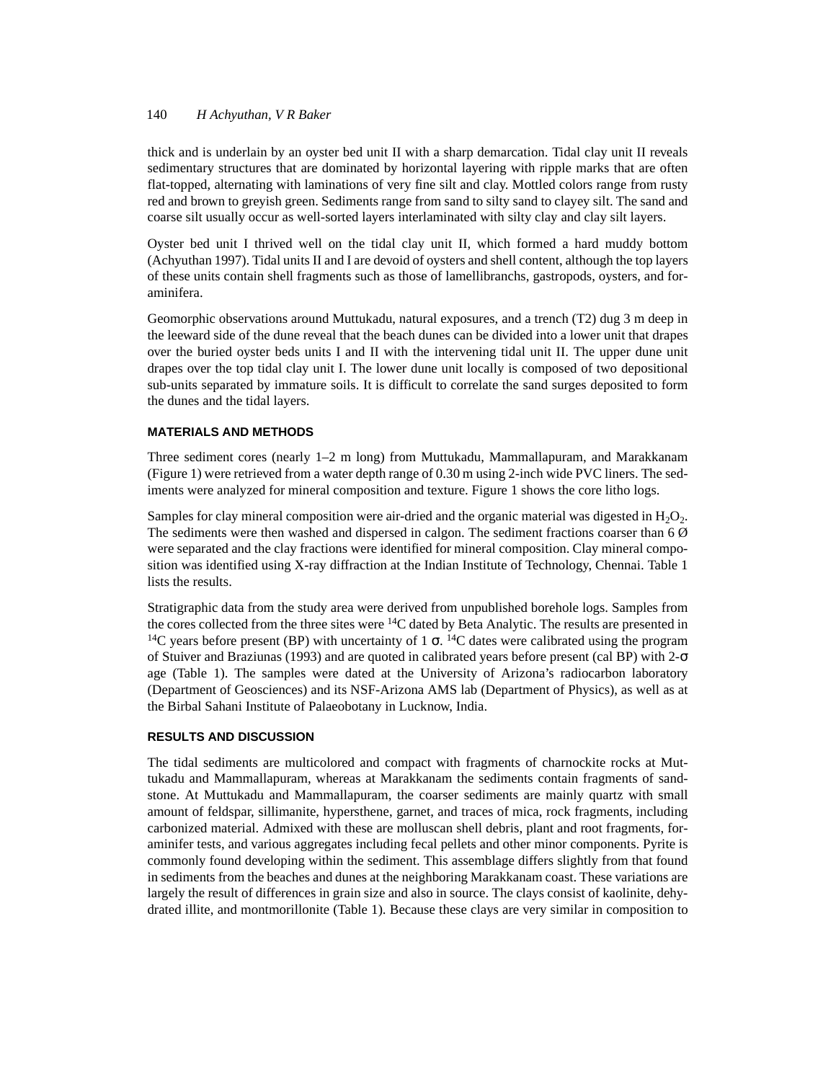## 140 *H Achyuthan, V R Baker*

thick and is underlain by an oyster bed unit II with a sharp demarcation. Tidal clay unit II reveals sedimentary structures that are dominated by horizontal layering with ripple marks that are often flat-topped, alternating with laminations of very fine silt and clay. Mottled colors range from rusty red and brown to greyish green. Sediments range from sand to silty sand to clayey silt. The sand and coarse silt usually occur as well-sorted layers interlaminated with silty clay and clay silt layers.

Oyster bed unit I thrived well on the tidal clay unit II, which formed a hard muddy bottom (Achyuthan 1997). Tidal units II and I are devoid of oysters and shell content, although the top layers of these units contain shell fragments such as those of lamellibranchs, gastropods, oysters, and foraminifera.

Geomorphic observations around Muttukadu, natural exposures, and a trench (T2) dug 3 m deep in the leeward side of the dune reveal that the beach dunes can be divided into a lower unit that drapes over the buried oyster beds units I and II with the intervening tidal unit II. The upper dune unit drapes over the top tidal clay unit I. The lower dune unit locally is composed of two depositional sub-units separated by immature soils. It is difficult to correlate the sand surges deposited to form the dunes and the tidal layers.

## **MATERIALS AND METHODS**

Three sediment cores (nearly 1–2 m long) from Muttukadu, Mammallapuram, and Marakkanam (Figure 1) were retrieved from a water depth range of 0.30 m using 2-inch wide PVC liners. The sediments were analyzed for mineral composition and texture. Figure 1 shows the core litho logs.

Samples for clay mineral composition were air-dried and the organic material was digested in  $H_2O_2$ . The sediments were then washed and dispersed in calgon. The sediment fractions coarser than 6 Ø were separated and the clay fractions were identified for mineral composition. Clay mineral composition was identified using X-ray diffraction at the Indian Institute of Technology, Chennai. Table 1 lists the results.

Stratigraphic data from the study area were derived from unpublished borehole logs. Samples from the cores collected from the three sites were 14C dated by Beta Analytic. The results are presented in <sup>14</sup>C years before present (BP) with uncertainty of 1  $\sigma$ . <sup>14</sup>C dates were calibrated using the program of Stuiver and Braziunas (1993) and are quoted in calibrated years before present (cal BP) with 2-σ age (Table 1). The samples were dated at the University of Arizona's radiocarbon laboratory (Department of Geosciences) and its NSF-Arizona AMS lab (Department of Physics), as well as at the Birbal Sahani Institute of Palaeobotany in Lucknow, India.

## **RESULTS AND DISCUSSION**

The tidal sediments are multicolored and compact with fragments of charnockite rocks at Muttukadu and Mammallapuram, whereas at Marakkanam the sediments contain fragments of sandstone. At Muttukadu and Mammallapuram, the coarser sediments are mainly quartz with small amount of feldspar, sillimanite, hypersthene, garnet, and traces of mica, rock fragments, including carbonized material. Admixed with these are molluscan shell debris, plant and root fragments, foraminifer tests, and various aggregates including fecal pellets and other minor components. Pyrite is commonly found developing within the sediment. This assemblage differs slightly from that found in sediments from the beaches and dunes at the neighboring Marakkanam coast. These variations are largely the result of differences in grain size and also in source. The clays consist of kaolinite, dehydrated illite, and montmorillonite (Table 1). Because these clays are very similar in composition to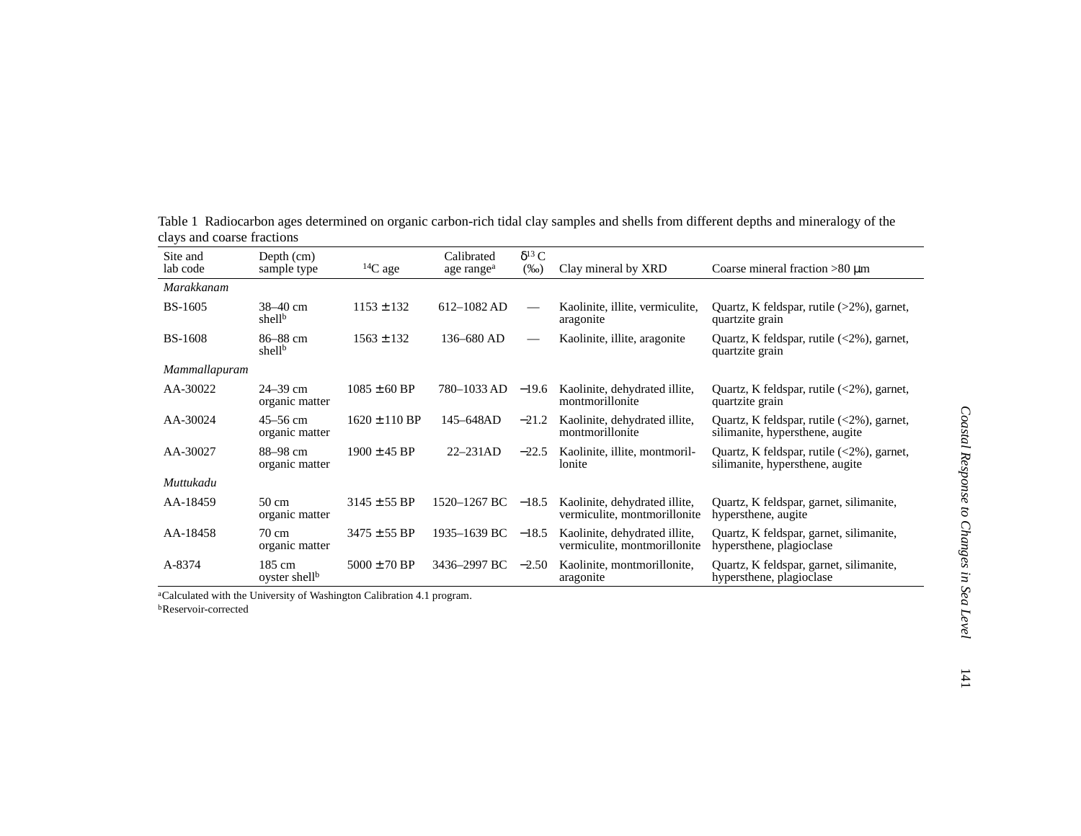| Site and<br>lab code | Depth (cm)<br>sample type           | ${}^{14}C$ age    | Calibrated<br>age range <sup>a</sup> | $\delta^{13}$ C<br>$(\%0)$ | Clay mineral by XRD                                           | Coarse mineral fraction $>80 \mu m$                                                                          |
|----------------------|-------------------------------------|-------------------|--------------------------------------|----------------------------|---------------------------------------------------------------|--------------------------------------------------------------------------------------------------------------|
| Marakkanam           |                                     |                   |                                      |                            |                                                               |                                                                                                              |
| <b>BS-1605</b>       | 38-40 cm<br>shell <sup>b</sup>      | $1153 \pm 132$    | $612 - 1082$ AD                      |                            | Kaolinite, illite, vermiculite,<br>aragonite                  | Quartz, K feldspar, rutile $(>2\%)$ , garnet,<br>quartzite grain                                             |
| <b>BS-1608</b>       | 86–88 cm<br>shell <sup>b</sup>      | $1563 \pm 132$    | 136-680 AD                           | $\hspace{0.05cm}$          | Kaolinite, illite, aragonite                                  | Quartz, K feldspar, rutile $\langle 2\% \rangle$ , garnet,<br>quartzite grain                                |
| Mammallapuram        |                                     |                   |                                      |                            |                                                               |                                                                                                              |
| AA-30022             | $24 - 39$ cm<br>organic matter      | $1085 \pm 60$ BP  | 780–1033 AD                          | $-19.6$                    | Kaolinite, dehydrated illite,<br>montmorillonite              | Quartz, K feldspar, rutile $\langle 2\% \rangle$ , garnet,<br>quartzite grain                                |
| AA-30024             | $45 - 56$ cm<br>organic matter      | $1620 \pm 110$ BP | 145–648AD                            | $-21.2$                    | Kaolinite, dehydrated illite,<br>montmorillonite              | Quartz, K feldspar, rutile $\langle 2\% \rangle$ , garnet,<br>silimanite, hypersthene, augite                |
| AA-30027             | 88–98 cm<br>organic matter          | $1900 \pm 45$ BP  | $22 - 231AD$                         | $-22.5$                    | Kaolinite, illite, montmoril-<br>lonite                       | Quartz, K feldspar, rutile $\left( \langle 2\% \rangle \right)$ , garnet,<br>silimanite, hypersthene, augite |
| Muttukadu            |                                     |                   |                                      |                            |                                                               |                                                                                                              |
| AA-18459             | 50 cm<br>organic matter             | $3145 \pm 55$ BP  | 1520-1267 BC                         | $-18.5$                    | Kaolinite, dehydrated illite,<br>vermiculite, montmorillonite | Quartz, K feldspar, garnet, silimanite,<br>hypersthene, augite                                               |
| AA-18458             | 70 cm<br>organic matter             | $3475 \pm 55$ BP  | 1935-1639 BC -18.5                   |                            | Kaolinite, dehydrated illite,<br>vermiculite, montmorillonite | Quartz, K feldspar, garnet, silimanite,<br>hypersthene, plagioclase                                          |
| A-8374               | 185 cm<br>oyster shell <sup>b</sup> | $5000 \pm 70$ BP  | 3436-2997 BC $-2.50$                 |                            | Kaolinite, montmorillonite,<br>aragonite                      | Quartz, K feldspar, garnet, silimanite,<br>hypersthene, plagioclase                                          |

Table 1 Radiocarbon ages determined on organic carbon-rich tidal clay samples and shells from different depths and mineralogy of the clays and coarse fractions

aCalculated with the University of Washington Calibration 4.1 program. **b**Reservoir-corrected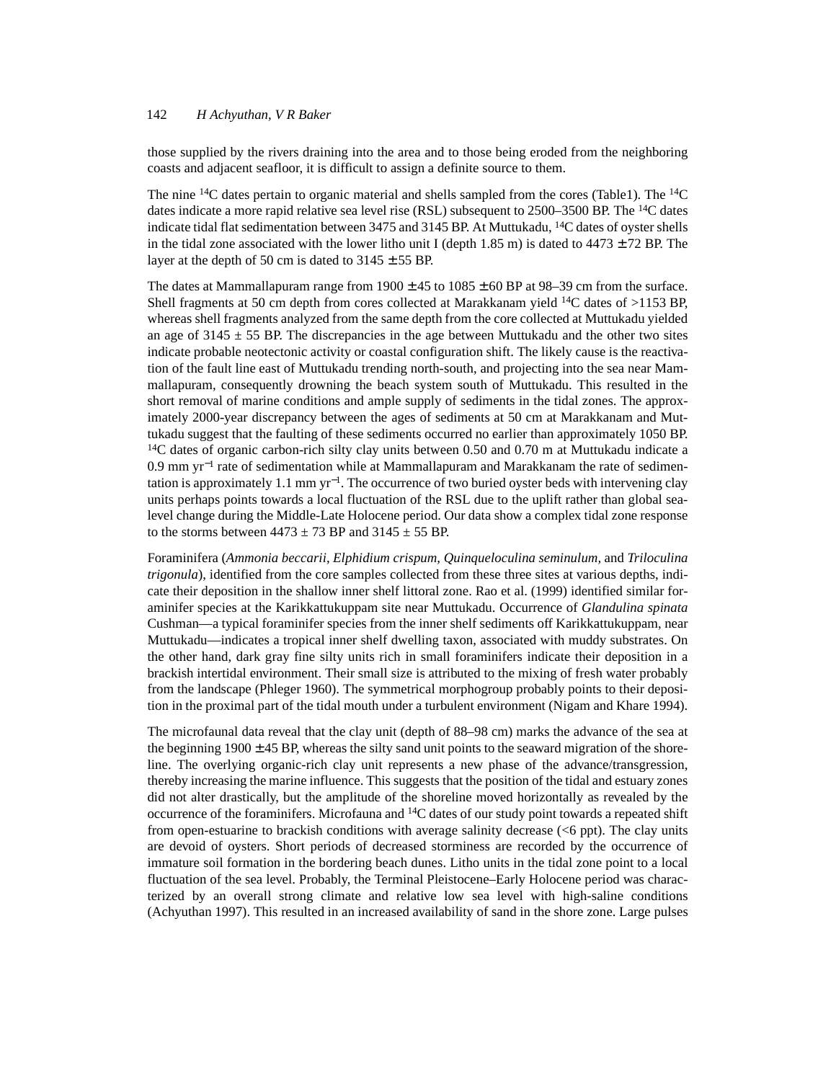## 142 *H Achyuthan, V R Baker*

those supplied by the rivers draining into the area and to those being eroded from the neighboring coasts and adjacent seafloor, it is difficult to assign a definite source to them.

The nine  $14C$  dates pertain to organic material and shells sampled from the cores (Table1). The  $14C$ dates indicate a more rapid relative sea level rise (RSL) subsequent to 2500–3500 BP. The <sup>14</sup>C dates indicate tidal flat sedimentation between 3475 and 3145 BP. At Muttukadu,  $^{14}C$  dates of oyster shells in the tidal zone associated with the lower litho unit I (depth 1.85 m) is dated to  $4473 \pm 72$  BP. The layer at the depth of 50 cm is dated to  $3145 \pm 55$  BP.

The dates at Mammallapuram range from  $1900 \pm 45$  to  $1085 \pm 60$  BP at 98–39 cm from the surface. Shell fragments at 50 cm depth from cores collected at Marakkanam yield <sup>14</sup>C dates of  $>$ 1153 BP, whereas shell fragments analyzed from the same depth from the core collected at Muttukadu yielded an age of  $3145 \pm 55$  BP. The discrepancies in the age between Muttukadu and the other two sites indicate probable neotectonic activity or coastal configuration shift. The likely cause is the reactivation of the fault line east of Muttukadu trending north-south, and projecting into the sea near Mammallapuram, consequently drowning the beach system south of Muttukadu. This resulted in the short removal of marine conditions and ample supply of sediments in the tidal zones. The approximately 2000-year discrepancy between the ages of sediments at 50 cm at Marakkanam and Muttukadu suggest that the faulting of these sediments occurred no earlier than approximately 1050 BP. <sup>14</sup>C dates of organic carbon-rich silty clay units between 0.50 and 0.70 m at Muttukadu indicate a 0.9 mm yr−1 rate of sedimentation while at Mammallapuram and Marakkanam the rate of sedimentation is approximately 1.1 mm  $yr^{-1}$ . The occurrence of two buried oyster beds with intervening clay units perhaps points towards a local fluctuation of the RSL due to the uplift rather than global sealevel change during the Middle-Late Holocene period. Our data show a complex tidal zone response to the storms between  $4473 \pm 73$  BP and  $3145 \pm 55$  BP.

Foraminifera (*Ammonia beccarii, Elphidium crispum, Quinqueloculina seminulum,* and *Triloculina trigonula*), identified from the core samples collected from these three sites at various depths, indicate their deposition in the shallow inner shelf littoral zone. Rao et al. (1999) identified similar foraminifer species at the Karikkattukuppam site near Muttukadu. Occurrence of *Glandulina spinata* Cushman—a typical foraminifer species from the inner shelf sediments off Karikkattukuppam, near Muttukadu—indicates a tropical inner shelf dwelling taxon, associated with muddy substrates. On the other hand, dark gray fine silty units rich in small foraminifers indicate their deposition in a brackish intertidal environment. Their small size is attributed to the mixing of fresh water probably from the landscape (Phleger 1960). The symmetrical morphogroup probably points to their deposition in the proximal part of the tidal mouth under a turbulent environment (Nigam and Khare 1994).

The microfaunal data reveal that the clay unit (depth of 88–98 cm) marks the advance of the sea at the beginning  $1900 \pm 45$  BP, whereas the silty sand unit points to the seaward migration of the shoreline. The overlying organic-rich clay unit represents a new phase of the advance/transgression, thereby increasing the marine influence. This suggests that the position of the tidal and estuary zones did not alter drastically, but the amplitude of the shoreline moved horizontally as revealed by the occurrence of the foraminifers. Microfauna and 14C dates of our study point towards a repeated shift from open-estuarine to brackish conditions with average salinity decrease (<6 ppt). The clay units are devoid of oysters. Short periods of decreased storminess are recorded by the occurrence of immature soil formation in the bordering beach dunes. Litho units in the tidal zone point to a local fluctuation of the sea level. Probably, the Terminal Pleistocene–Early Holocene period was characterized by an overall strong climate and relative low sea level with high-saline conditions (Achyuthan 1997). This resulted in an increased availability of sand in the shore zone. Large pulses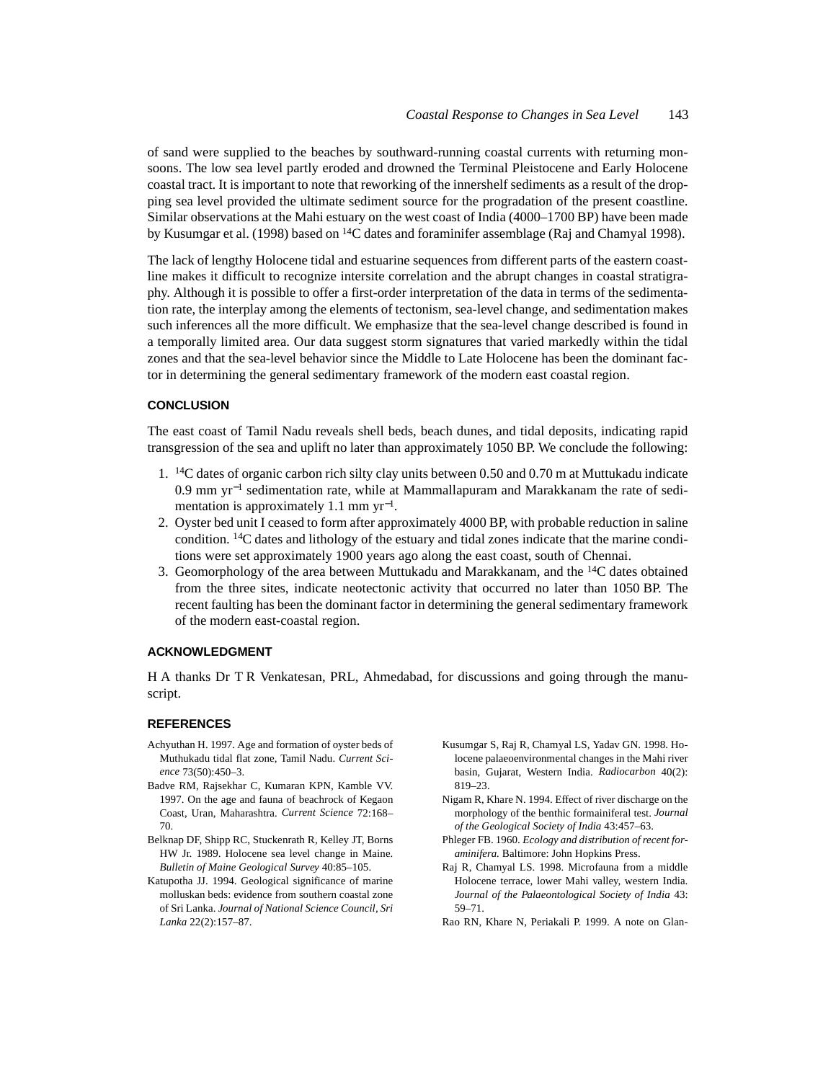of sand were supplied to the beaches by southward-running coastal currents with returning monsoons. The low sea level partly eroded and drowned the Terminal Pleistocene and Early Holocene coastal tract. It is important to note that reworking of the innershelf sediments as a result of the dropping sea level provided the ultimate sediment source for the progradation of the present coastline. Similar observations at the Mahi estuary on the west coast of India (4000–1700 BP) have been made by Kusumgar et al. (1998) based on  ${}^{14}C$  dates and foraminifer assemblage (Raj and Chamyal 1998).

The lack of lengthy Holocene tidal and estuarine sequences from different parts of the eastern coastline makes it difficult to recognize intersite correlation and the abrupt changes in coastal stratigraphy. Although it is possible to offer a first-order interpretation of the data in terms of the sedimentation rate, the interplay among the elements of tectonism, sea-level change, and sedimentation makes such inferences all the more difficult. We emphasize that the sea-level change described is found in a temporally limited area. Our data suggest storm signatures that varied markedly within the tidal zones and that the sea-level behavior since the Middle to Late Holocene has been the dominant factor in determining the general sedimentary framework of the modern east coastal region.

### **CONCLUSION**

The east coast of Tamil Nadu reveals shell beds, beach dunes, and tidal deposits, indicating rapid transgression of the sea and uplift no later than approximately 1050 BP. We conclude the following:

- 1. 14C dates of organic carbon rich silty clay units between 0.50 and 0.70 m at Muttukadu indicate 0.9 mm yr−1 sedimentation rate, while at Mammallapuram and Marakkanam the rate of sedimentation is approximately 1.1 mm yr<sup>−</sup>1.
- 2. Oyster bed unit I ceased to form after approximately 4000 BP, with probable reduction in saline condition. 14C dates and lithology of the estuary and tidal zones indicate that the marine conditions were set approximately 1900 years ago along the east coast, south of Chennai.
- 3. Geomorphology of the area between Muttukadu and Marakkanam, and the 14C dates obtained from the three sites, indicate neotectonic activity that occurred no later than 1050 BP. The recent faulting has been the dominant factor in determining the general sedimentary framework of the modern east-coastal region.

## **ACKNOWLEDGMENT**

H A thanks Dr T R Venkatesan, PRL, Ahmedabad, for discussions and going through the manuscript.

### **REFERENCES**

- Achyuthan H. 1997. Age and formation of oyster beds of Muthukadu tidal flat zone, Tamil Nadu. *Current Science* 73(50):450–3.
- Badve RM, Rajsekhar C, Kumaran KPN, Kamble VV. 1997. On the age and fauna of beachrock of Kegaon Coast, Uran, Maharashtra. *Current Science* 72:168– 70.
- Belknap DF, Shipp RC, Stuckenrath R, Kelley JT, Borns HW Jr. 1989. Holocene sea level change in Maine. *Bulletin of Maine Geological Survey* 40:85–105.
- Katupotha JJ. 1994. Geological significance of marine molluskan beds: evidence from southern coastal zone of Sri Lanka. *Journal of National Science Council, Sri Lanka* 22(2):157–87.
- Kusumgar S, Raj R, Chamyal LS, Yadav GN. 1998. Holocene palaeoenvironmental changes in the Mahi river basin, Gujarat, Western India. *Radiocarbon* 40(2): 819–23.
- Nigam R, Khare N. 1994. Effect of river discharge on the morphology of the benthic formainiferal test. *Journal of the Geological Society of India* 43:457–63.
- Phleger FB. 1960. *Ecology and distribution of recent foraminifera.* Baltimore: John Hopkins Press.
- Raj R, Chamyal LS. 1998. Microfauna from a middle Holocene terrace, lower Mahi valley, western India. *Journal of the Palaeontological Society of India* 43: 59–71.
- Rao RN, Khare N, Periakali P. 1999. A note on Glan-